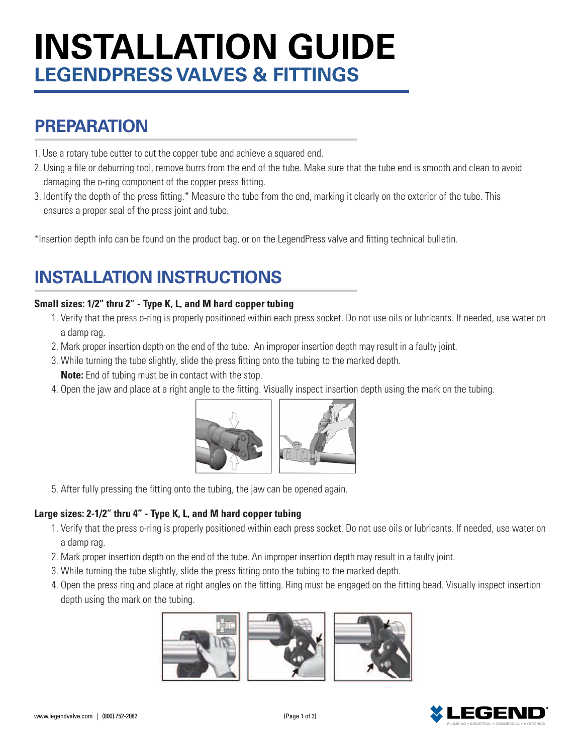# **INSTALLATION GUIDE LEGENDPRESS VALVES & FITTINGS**

# **PREPARATION**

- 1. Use a rotary tube cutter to cut the copper tube and achieve a squared end.
- 2. Using a file or deburring tool, remove burrs from the end of the tube. Make sure that the tube end is smooth and clean to avoid damaging the o-ring component of the copper press fitting.
- 3. Identify the depth of the press fitting.\* Measure the tube from the end, marking it clearly on the exterior of the tube. This ensures a proper seal of the press joint and tube.

\*Insertion depth info can be found on the product bag, or on the LegendPress valve and fitting technical bulletin.

# **INSTALLATION INSTRUCTIONS**

#### **Small sizes: 1/2" thru 2" - Type K, L, and M hard copper tubing**

- 1. Verify that the press o-ring is properly positioned within each press socket. Do not use oils or lubricants. If needed, use water on a damp rag.
- 2. Mark proper insertion depth on the end of the tube. An improper insertion depth may result in a faulty joint.
- 3. While turning the tube slightly, slide the press fitting onto the tubing to the marked depth.  **Note:** End of tubing must be in contact with the stop.
- 4. Open the jaw and place at a right angle to the fitting. Visually inspect insertion depth using the mark on the tubing.



5. After fully pressing the fitting onto the tubing, the jaw can be opened again.

#### **Large sizes: 2-1/2" thru 4" - Type K, L, and M hard copper tubing**

- 1. Verify that the press o-ring is properly positioned within each press socket. Do not use oils or lubricants. If needed, use water on a damp rag.
- 2. Mark proper insertion depth on the end of the tube. An improper insertion depth may result in a faulty joint.
- 3. While turning the tube slightly, slide the press fitting onto the tubing to the marked depth.
- 4. Open the press ring and place at right angles on the fitting. Ring must be engaged on the fitting bead. Visually inspect insertion depth using the mark on the tubing.



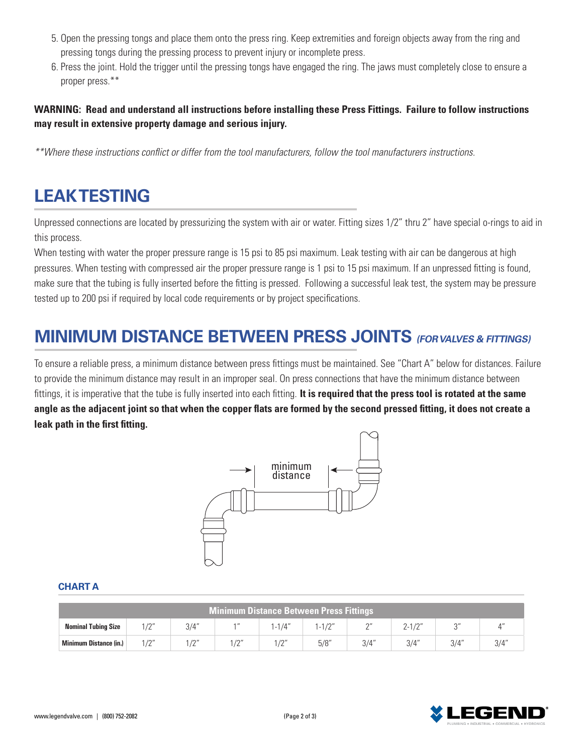- 5. Open the pressing tongs and place them onto the press ring. Keep extremities and foreign objects away from the ring and pressing tongs during the pressing process to prevent injury or incomplete press.
- 6. Press the joint. Hold the trigger until the pressing tongs have engaged the ring. The jaws must completely close to ensure a proper press.\*\*

#### **WARNING: Read and understand all instructions before installing these Press Fittings. Failure to follow instructions may result in extensive property damage and serious injury.**

*\*\*Where these instructions conflict or differ from the tool manufacturers, follow the tool manufacturers instructions.*

### **LEAK TESTING**

Unpressed connections are located by pressurizing the system with air or water. Fitting sizes 1/2" thru 2" have special o-rings to aid in this process.

When testing with water the proper pressure range is 15 psi to 85 psi maximum. Leak testing with air can be dangerous at high pressures. When testing with compressed air the proper pressure range is 1 psi to 15 psi maximum. If an unpressed fitting is found, make sure that the tubing is fully inserted before the fitting is pressed. Following a successful leak test, the system may be pressure tested up to 200 psi if required by local code requirements or by project specifications.

### **MINIMUM DISTANCE BETWEEN PRESS JOINTS (FOR VALVES & FITTINGS)**

To ensure a reliable press, a minimum distance between press fittings must be maintained. See "Chart A" below for distances. Failure to provide the minimum distance may result in an improper seal. On press connections that have the minimum distance between fittings, it is imperative that the tube is fully inserted into each fitting. **It is required that the press tool is rotated at the same angle as the adjacent joint so that when the copper flats are formed by the second pressed fitting, it does not create a leak path in the first fitting.**



#### **CHART A**

| <b>Minimum Distance Between Press Fittings</b> |                  |                  |                         |                        |      |           |                  |        |               |  |
|------------------------------------------------|------------------|------------------|-------------------------|------------------------|------|-----------|------------------|--------|---------------|--|
| <b>Nominal Tubing Size</b>                     | 1/0''            | 3/4"             | $A$ $II$                | $1 - 1/4"$             |      | $\bigcap$ | 10 <sup>11</sup> | $\sim$ |               |  |
| Minimum Distance (in.)                         | 10 <sup>11</sup> | 10 <sup>11</sup> | 10 <sup>11</sup><br>. . | $\sqrt{2}$<br><u>_</u> | 5/8" | 3/4"      | $3/\Delta''$     | 3/4"   | $2/\Lambda''$ |  |